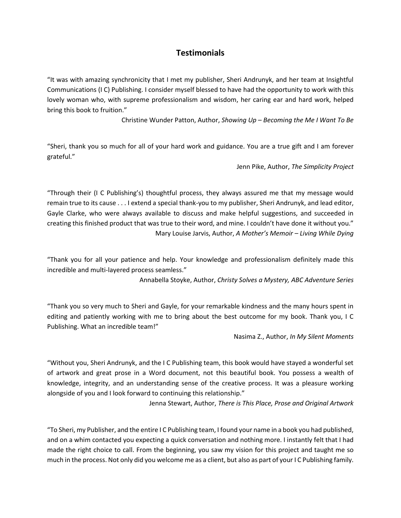## **Testimonials**

"It was with amazing synchronicity that I met my publisher, Sheri Andrunyk, and her team at Insightful Communications (I C) Publishing. I consider myself blessed to have had the opportunity to work with this lovely woman who, with supreme professionalism and wisdom, her caring ear and hard work, helped bring this book to fruition."

Christine Wunder Patton, Author, *Showing Up – Becoming the Me I Want To Be*

"Sheri, thank you so much for all of your hard work and guidance. You are a true gift and I am forever grateful."

Jenn Pike, Author, *The Simplicity Project*

"Through their (I C Publishing's) thoughtful process, they always assured me that my message would remain true to its cause . . . I extend a special thank-you to my publisher, Sheri Andrunyk, and lead editor, Gayle Clarke, who were always available to discuss and make helpful suggestions, and succeeded in creating this finished product that was true to their word, and mine. I couldn't have done it without you." Mary Louise Jarvis, Author, *A Mother's Memoir – Living While Dying*

"Thank you for all your patience and help. Your knowledge and professionalism definitely made this incredible and multi-layered process seamless."

Annabella Stoyke, Author, *Christy Solves a Mystery, ABC Adventure Series*

"Thank you so very much to Sheri and Gayle, for your remarkable kindness and the many hours spent in editing and patiently working with me to bring about the best outcome for my book. Thank you, I C Publishing. What an incredible team!"

Nasima Z., Author, *In My Silent Moments*

"Without you, Sheri Andrunyk, and the I C Publishing team, this book would have stayed a wonderful set of artwork and great prose in a Word document, not this beautiful book. You possess a wealth of knowledge, integrity, and an understanding sense of the creative process. It was a pleasure working alongside of you and I look forward to continuing this relationship."

Jenna Stewart, Author, *There is This Place, Prose and Original Artwork*

"To Sheri, my Publisher, and the entire I C Publishing team, I found your name in a book you had published, and on a whim contacted you expecting a quick conversation and nothing more. I instantly felt that I had made the right choice to call. From the beginning, you saw my vision for this project and taught me so much in the process. Not only did you welcome me as a client, but also as part of your I C Publishing family.